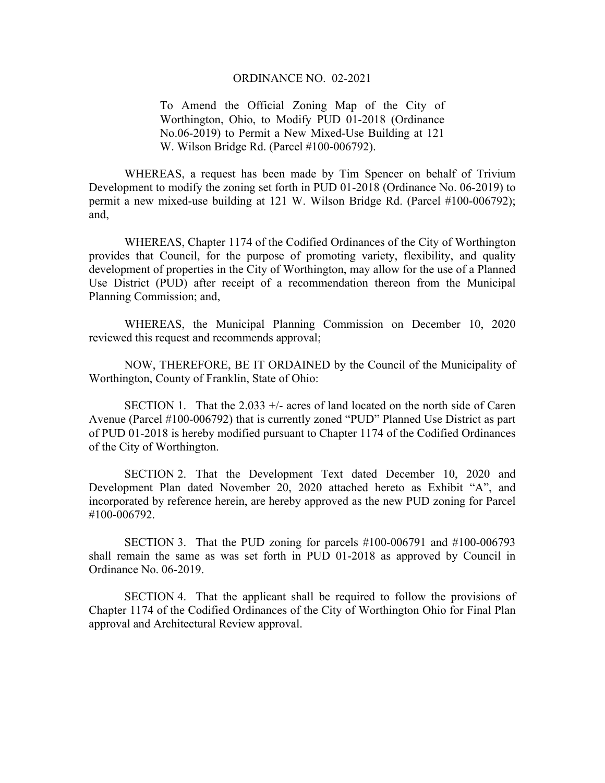## ORDINANCE NO. 02-2021

To Amend the Official Zoning Map of the City of Worthington, Ohio, to Modify PUD 01-2018 (Ordinance No.06-2019) to Permit a New Mixed-Use Building at 121 W. Wilson Bridge Rd. (Parcel #100-006792).

WHEREAS, a request has been made by Tim Spencer on behalf of Trivium Development to modify the zoning set forth in PUD 01-2018 (Ordinance No. 06-2019) to permit a new mixed-use building at 121 W. Wilson Bridge Rd. (Parcel #100-006792); and,

WHEREAS, Chapter 1174 of the Codified Ordinances of the City of Worthington provides that Council, for the purpose of promoting variety, flexibility, and quality development of properties in the City of Worthington, may allow for the use of a Planned Use District (PUD) after receipt of a recommendation thereon from the Municipal Planning Commission; and,

WHEREAS, the Municipal Planning Commission on December 10, 2020 reviewed this request and recommends approval;

NOW, THEREFORE, BE IT ORDAINED by the Council of the Municipality of Worthington, County of Franklin, State of Ohio:

SECTION 1. That the 2.033  $+\prime$ - acres of land located on the north side of Caren Avenue (Parcel #100-006792) that is currently zoned "PUD" Planned Use District as part of PUD 01-2018 is hereby modified pursuant to Chapter 1174 of the Codified Ordinances of the City of Worthington.

SECTION 2. That the Development Text dated December 10, 2020 and Development Plan dated November 20, 2020 attached hereto as Exhibit "A", and incorporated by reference herein, are hereby approved as the new PUD zoning for Parcel #100-006792.

SECTION 3. That the PUD zoning for parcels #100-006791 and #100-006793 shall remain the same as was set forth in PUD 01-2018 as approved by Council in Ordinance No. 06-2019.

SECTION 4. That the applicant shall be required to follow the provisions of Chapter 1174 of the Codified Ordinances of the City of Worthington Ohio for Final Plan approval and Architectural Review approval.